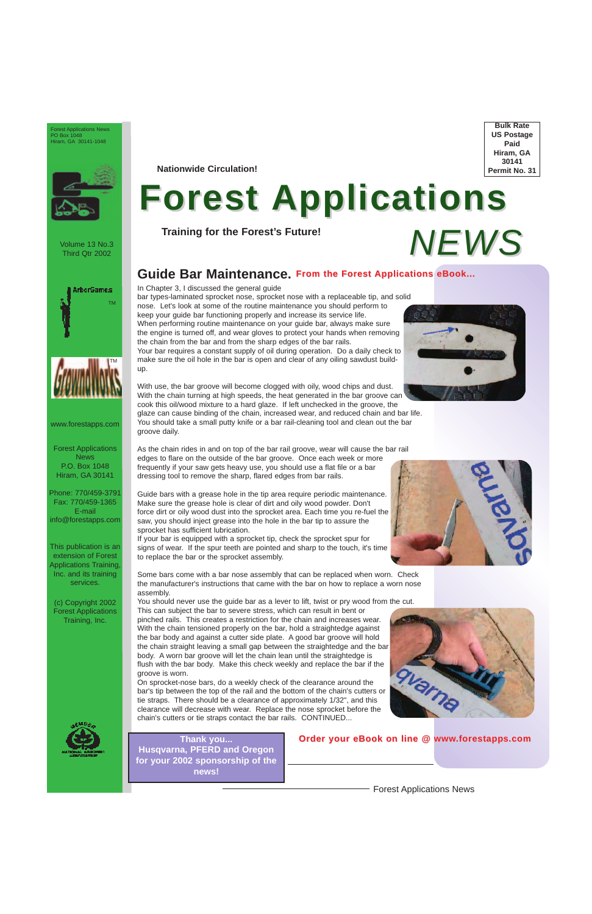Forest Applications News

Volume 13 No.3 Third Qtr 2002

Forest Applications News P.O. Box 1048 Hiram, GA 30141

Phone: 770/459-3791 Fax: 770/459-1365 E-mail info@forestapps.com

This publication is an extension of Forest Applications Training, Inc. and its training services.

(c) Copyright 2002 Forest Applications Training, Inc.





**Bulk Rate US Postage Paid Hiram, GA 30141 Permit No. 31**





Forest Applications News PO Box 1048 Hiram, GA 30141-1048



**Nationwide Circulation!**

# **Forest Applications**

**Training for the Forest's Future!**

**Guide Bar Maintenance. From the Forest Applications eBook...** 

*NEWS*

**Thank you... Husqvarna, PFERD and Oregon for your 2002 sponsorship of the news!**

**Order your eBook on line @ www.forestapps.com** 

www.forestapps.com

In Chapter 3, I discussed the general guide

bar types-laminated sprocket nose, sprocket nose with a replaceable tip, and solid nose. Let's look at some of the routine maintenance you should perform to keep your guide bar functioning properly and increase its service life. When performing routine maintenance on your guide bar, always make sure the engine is turned off, and wear gloves to protect your hands when removing the chain from the bar and from the sharp edges of the bar rails. Your bar requires a constant supply of oil during operation. Do a daily check to

make sure the oil hole in the bar is open and clear of any oiling sawdust buildup.



As the chain rides in and on top of the bar rail groove, wear will cause the bar rail edges to flare on the outside of the bar groove. Once each week or more frequently if your saw gets heavy use, you should use a flat file or a bar dressing tool to remove the sharp, flared edges from bar rails.

Guide bars with a grease hole in the tip area require periodic maintenance. Make sure the grease hole is clear of dirt and oily wood powder. Don't force dirt or oily wood dust into the sprocket area. Each time you re-fuel the saw, you should inject grease into the hole in the bar tip to assure the sprocket has sufficient lubrication.

If your bar is equipped with a sprocket tip, check the sprocket spur for signs of wear. If the spur teeth are pointed and sharp to the touch, it's time to replace the bar or the sprocket assembly.

Some bars come with a bar nose assembly that can be replaced when worn. Check the manufacturer's instructions that came with the bar on how to replace a worn nose assembly.

You should never use the guide bar as a lever to lift, twist or pry wood from the cut. This can subject the bar to severe stress, which can result in bent or pinched rails. This creates a restriction for the chain and increases wear. With the chain tensioned properly on the bar, hold a straightedge against the bar body and against a cutter side plate. A good bar groove will hold the chain straight leaving a small gap between the straightedge and the bar body. A worn bar groove will let the chain lean until the straightedge is flush with the bar body. Make this check weekly and replace the bar if the



groove is worn.

On sprocket-nose bars, do a weekly check of the clearance around the bar's tip between the top of the rail and the bottom of the chain's cutters or tie straps. There should be a clearance of approximately 1/32", and this clearance will decrease with wear. Replace the nose sprocket before the chain's cutters or tie straps contact the bar rails. CONTINUED...

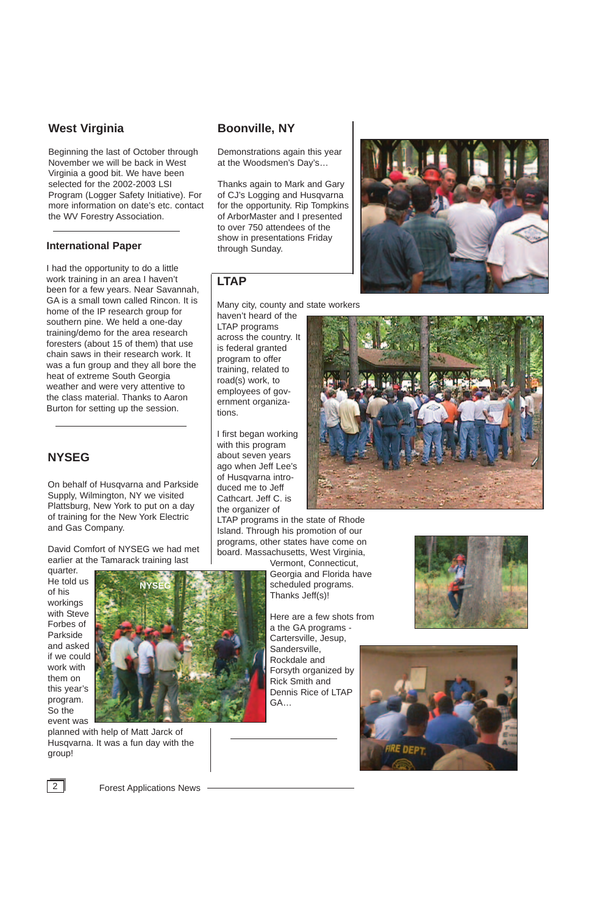2 Forest Applications News

#### **West Virginia**

Beginning the last of October through November we will be back in West Virginia a good bit. We have been selected for the 2002-2003 LSI Program (Logger Safety Initiative). For more information on date's etc. contact the WV Forestry Association.

#### **International Paper**

I had the opportunity to do a little work training in an area I haven't been for a few years. Near Savannah, GA is a small town called Rincon. It is home of the IP research group for southern pine. We held a one-day training/demo for the area research foresters (about 15 of them) that use chain saws in their research work. It was a fun group and they all bore the heat of extreme South Georgia weather and were very attentive to the class material. Thanks to Aaron Burton for setting up the session.

#### **NYSEG**

On behalf of Husqvarna and Parkside Supply, Wilmington, NY we visited Plattsburg, New York to put on a day of training for the New York Electric and Gas Company.

David Comfort of NYSEG we had met earlier at the Tamarack training last

quarter. He told us of his workings with Steve Forbes of Parkside and asked if we could work with

them on this year's program. So the event was





#### **LTAP**

Many city, county and state workers

haven't heard of the LTAP programs across the country. It is federal granted program to offer training, related to road(s) work, to employees of government organizations.

I first began working with this program about seven years ago when Jeff Lee's of Husqvarna introduced me to Jeff Cathcart. Jeff C. is the organizer of

LTAP programs in the state of Rhode Island. Through his promotion of our programs, other states have come on board. Massachusetts, West Virginia,

Vermont, Connecticut, Georgia and Florida have scheduled programs. Thanks Jeff(s)!

Here are a few shots from a the GA programs - Cartersville, Jesup, Sandersville, Rockdale and Forsyth organized by







Rick Smith and Dennis Rice of LTAP GA…

#### **Boonville, NY**

Demonstrations again this year at the Woodsmen's Day's…

Thanks again to Mark and Gary of CJ's Logging and Husqvarna for the opportunity. Rip Tompkins of ArborMaster and I presented to over 750 attendees of the show in presentations Friday through Sunday.



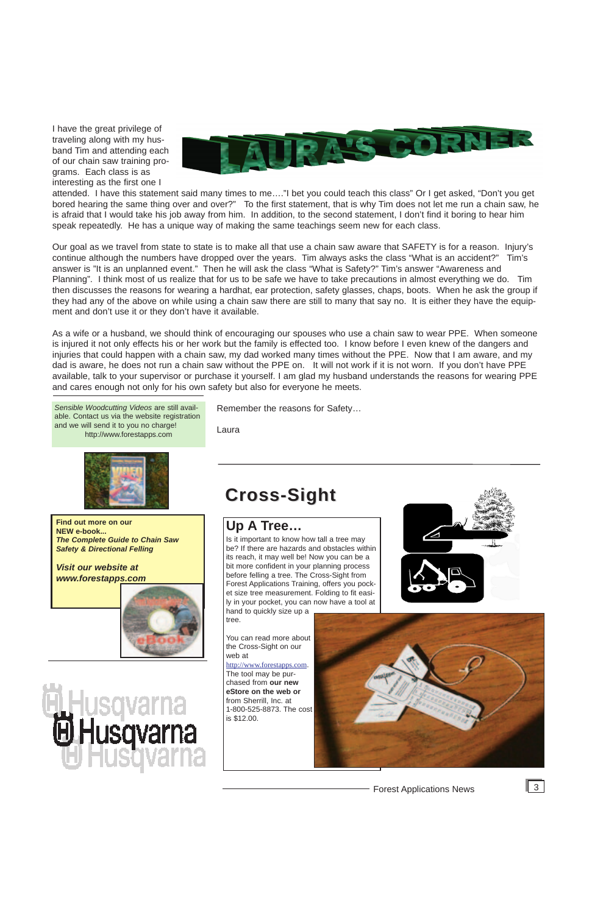I have the great privilege of traveling along with my husband Tim and attending each of our chain saw training programs. Each class is as interesting as the first one I



attended. I have this statement said many times to me…."I bet you could teach this class" Or I get asked, "Don't you get bored hearing the same thing over and over?" To the first statement, that is why Tim does not let me run a chain saw, he is afraid that I would take his job away from him. In addition, to the second statement, I don't find it boring to hear him speak repeatedly. He has a unique way of making the same teachings seem new for each class.

Our goal as we travel from state to state is to make all that use a chain saw aware that SAFETY is for a reason. Injury's continue although the numbers have dropped over the years. Tim always asks the class "What is an accident?" Tim's answer is "It is an unplanned event." Then he will ask the class "What is Safety?" Tim's answer "Awareness and Planning". I think most of us realize that for us to be safe we have to take precautions in almost everything we do. Tim then discusses the reasons for wearing a hardhat, ear protection, safety glasses, chaps, boots. When he ask the group if they had any of the above on while using a chain saw there are still to many that say no. It is either they have the equipment and don't use it or they don't have it available.

As a wife or a husband, we should think of encouraging our spouses who use a chain saw to wear PPE. When someone is injured it not only effects his or her work but the family is effected too. I know before I even knew of the dangers and injuries that could happen with a chain saw, my dad worked many times without the PPE. Now that I am aware, and my dad is aware, he does not run a chain saw without the PPE on. It will not work if it is not worn. If you don't have PPE available, talk to your supervisor or purchase it yourself. I am glad my husband understands the reasons for wearing PPE and cares enough not only for his own safety but also for everyone he meets.

Remember the reasons for Safety…

Laura

## **Cross-Sight Cross-Sight**

*Sensible Woodcutting Videos* are still available. Contact us via the website registration and we will send it to you no charge! http://www.forestapps.com



**Find out more on our NEW e-book...** *The Complete Guide to Chain Saw Safety & Directional Felling* 

*Visit our website at www.forestapps.com*



#### **Up A Tree…**

Is it important to know how tall a tree may be? If there are hazards and obstacles within its reach, it may well be! Now you can be a bit more confident in your planning process before felling a tree. The Cross-Sight from Forest Applications Training, offers you pocket size tree measurement. Folding to fit easily in your pocket, you can now have a tool at

hand to quickly size up a tree.

You can read more about the Cross-Sight on our web at http://www.forestapps.com. The tool may be purchased from **our new eStore on the web or** from Sherrill, Inc. at 1-800-525-8873. The cost is \$12.00.





# lusqvarna<br>Husqvarna

Forest Applications News  $\begin{array}{|c|c|}\n\hline\n3\n\end{array}$ 

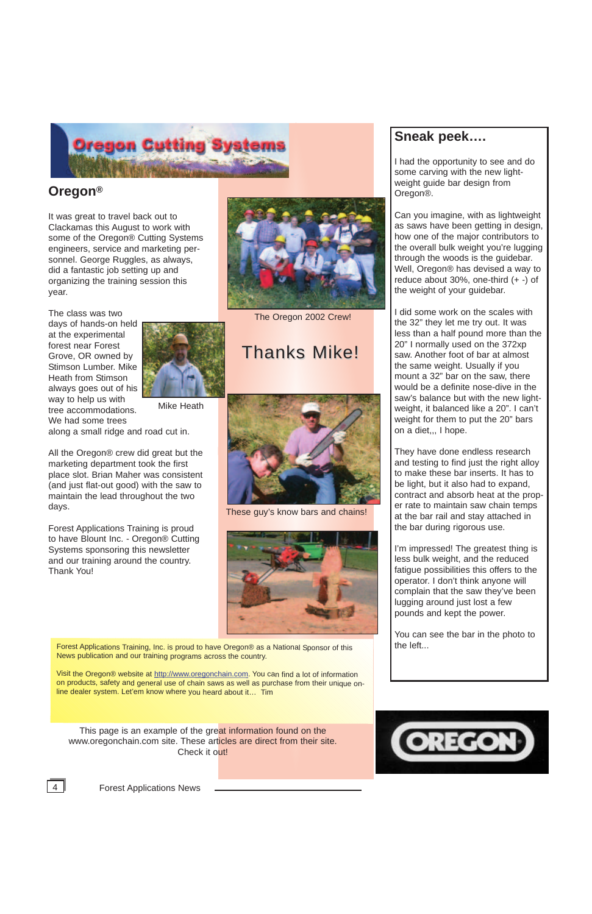

#### **Oregon®**

It was great to travel back out to Clackamas this August to work with some of the Oregon® Cutting Systems engineers, service and marketing personnel. George Ruggles, as always, did a fantastic job setting up and organizing the training session this year.

The class was two days of hands-on held at the experimental forest near Forest Grove, OR owned by Stimson Lumber. Mike Heath from Stimson always goes out of his way to help us with tree accommodations. We had some trees



along a small ridge and road cut in.

All the Oregon® crew did great but the marketing department took the first place slot. Brian Maher was consistent (and just flat-out good) with the saw to maintain the lead throughout the two days.

Forest Applications Training is proud to have Blount Inc. - Oregon® Cutting Systems sponsoring this newsletter and our training around the country. Thank You!

#### **Sneak peek….**

I had the opportunity to see and do some carving with the new lightweight guide bar design from Oregon®.

Can you imagine, with as lightweight as saws have been getting in design, how one of the major contributors to the overall bulk weight you're lugging through the woods is the guidebar. Well, Oregon® has devised a way to reduce about 30%, one-third (+ -) of the weight of your guidebar.



Forest Applications Training, Inc. is proud to have Oregon<sup>®</sup> as a National Sponsor of this **the left...** News publication and our training programs across the country.

This page is an example of the great information found on the www.oregonchain.com site. These articles are direct from their site. Check it out!





4 **Forest Applications News** 

I did some work on the scales with the 32" they let me try out. It was less than a half pound more than the 20" I normally used on the 372xp saw. Another foot of bar at almost the same weight. Usually if you mount a 32" bar on the saw, there would be a definite nose-dive in the saw's balance but with the new lightweight, it balanced like a 20". I can't weight for them to put the 20" bars on a diet,,, I hope.

They have done endless research and testing to find just the right alloy to make these bar inserts. It has to be light, but it also had to expand, contract and absorb heat at the proper rate to maintain saw chain temps at the bar rail and stay attached in the bar during rigorous use.

I'm impressed! The greatest thing is less bulk weight, and the reduced fatigue possibilities this offers to the operator. I don't think anyone will complain that the saw they've been lugging around just lost a few pounds and kept the power.

You can see the bar in the photo to

Visit the Oregon® website at http://www.oregonchain.com. You can find a lot of information on products, safety and general use of chain saws as well as purchase from their unique online dealer system. Let'em know where you heard about it… Tim

Mike Heath



These guy's know bars and chains!



The Oregon 2002 Crew!

# **Thanks Mike!**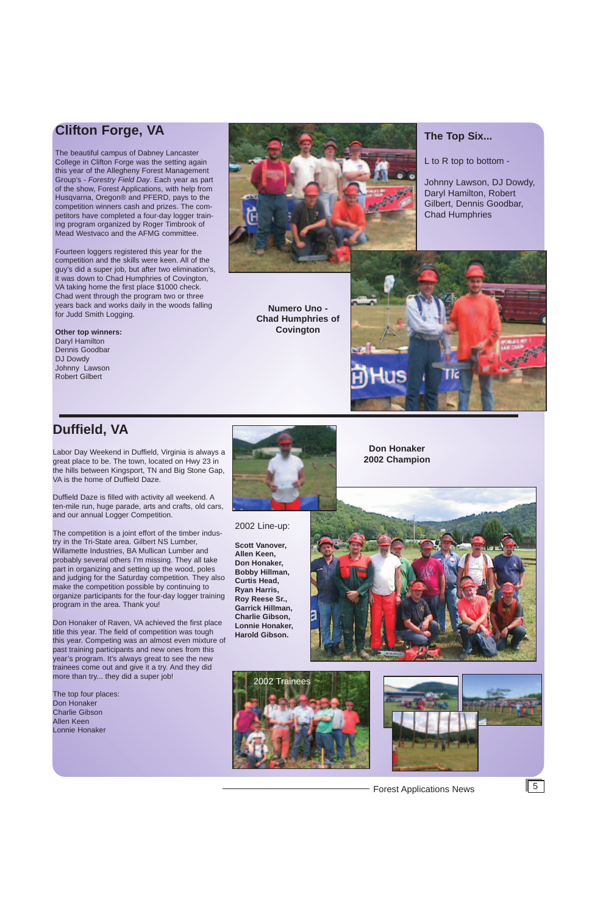#### **Clifton Forge, VA**

The beautiful campus of Dabney Lancaster College in Clifton Forge was the setting again this year of the Allegheny Forest Management Group's *- Forestry Field Day*. Each year as part of the show, Forest Applications, with help from Husqvarna, Oregon® and PFERD, pays to the competition winners cash and prizes. The competitors have completed a four-day logger training program organized by Roger Timbrook of Mead Westvaco and the AFMG committee.

Fourteen loggers registered this year for the competition and the skills were keen. All of the guy's did a super job, but after two elimination's, it was down to Chad Humphries of Covington, VA taking home the first place \$1000 check. Chad went through the program two or three years back and works daily in the woods falling for Judd Smith Logging.

#### **Other top winners:**

Daryl Hamilton Dennis Goodbar DJ Dowdy Johnny Lawson Robert Gilbert



#### **Duffield, VA**

Labor Day Weekend in Duffield, Virginia is always a great place to be. The town, located on Hwy 23 in the hills between Kingsport, TN and Big Stone Gap, VA is the home of Duffield Daze.

Duffield Daze is filled with activity all weekend. A ten-mile run, huge parade, arts and crafts, old cars, and our annual Logger Competition.

The competition is a joint effort of the timber industry in the Tri-State area. Gilbert NS Lumber, Willamette Industries, BA Mullican Lumber and probably several others I'm missing. They all take part in organizing and setting up the wood, poles and judging for the Saturday competition. They also make the competition possible by continuing to organize participants for the four-day logger training program in the area. Thank you!

Don Honaker of Raven, VA achieved the first place title this year. The field of competition was tough this year. Competing was an almost even mixture of past training participants and new ones from this year's program. It's always great to see the new trainees come out and give it a try. And they did



more than try... they did a super job!

The top four places: Don Honaker Charlie Gibson Allen Keen Lonnie Honaker

**Numero Uno - Chad Humphries of Covington**

#### **The Top Six...**

L to R top to bottom -

Johnny Lawson, DJ Dowdy, Daryl Hamilton, Robert Gilbert, Dennis Goodbar, Chad Humphries







#### Forest Applications News 5

**Don Honaker 2002 Champion**



2002 Line-up:

**Scott Vanover, Allen Keen, Don Honaker, Bobby Hillman, Curtis Head, Ryan Harris, Roy Reese Sr., Garrick Hillman, Charlie Gibson, Lonnie Honaker, Harold Gibson.**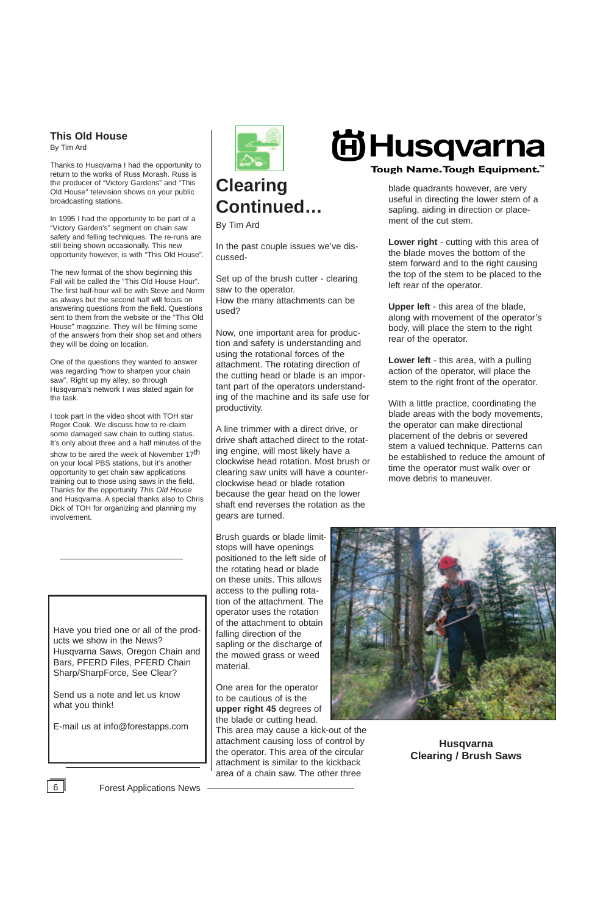Have you tried one or all of the products we show in the News? Husqvarna Saws, Oregon Chain and Bars, PFERD Files, PFERD Chain Sharp/SharpForce, See Clear?



Send us a note and let us know what you think!

E-mail us at info@forestapps.com

**Husqvarna Clearing / Brush Saws**



6 **Forest Applications News** 

blade quadrants however, are very useful in directing the lower stem of a sapling, aiding in direction or placement of the cut stem.

**Lower right** - cutting with this area of the blade moves the bottom of the stem forward and to the right causing the top of the stem to be placed to the left rear of the operator.

**Upper left** - this area of the blade, along with movement of the operator's body, will place the stem to the right rear of the operator.

**Lower left** - this area, with a pulling action of the operator, will place the stem to the right front of the operator.

With a little practice, coordinating the blade areas with the body movements, the operator can make directional placement of the debris or severed stem a valued technique. Patterns can be established to reduce the amount of time the operator must walk over or move debris to maneuver.



### **Clearing Continued…**

By Tim Ard

In the past couple issues we've discussed-

Set up of the brush cutter - clearing saw to the operator. How the many attachments can be used?

Now, one important area for production and safety is understanding and using the rotational forces of the attachment. The rotating direction of the cutting head or blade is an important part of the operators understanding of the machine and its safe use for productivity.

A line trimmer with a direct drive, or drive shaft attached direct to the rotating engine, will most likely have a clockwise head rotation. Most brush or clearing saw units will have a counterclockwise head or blade rotation because the gear head on the lower shaft end reverses the rotation as the gears are turned.

Brush guards or blade limitstops will have openings positioned to the left side of the rotating head or blade on these units. This allows access to the pulling rotation of the attachment. The operator uses the rotation of the attachment to obtain falling direction of the sapling or the discharge of the mowed grass or weed material.

# **尚Husqvarna**

#### Tough Name. Tough Equipment.<sup>™</sup>

One area for the operator to be cautious of is the **upper right 45** degrees of the blade or cutting head.



This area may cause a kick-out of the attachment causing loss of control by the operator. This area of the circular attachment is similar to the kickback area of a chain saw. The other three

#### **This Old House**

By Tim Ard

Thanks to Husqvarna I had the opportunity to return to the works of Russ Morash. Russ is the producer of "Victory Gardens" and "This Old House" television shows on your public broadcasting stations.

In 1995 I had the opportunity to be part of a "Victory Garden's" segment on chain saw safety and felling techniques. The re-runs are still being shown occasionally. This new opportunity however, is with "This Old House".

The new format of the show beginning this Fall will be called the "This Old House Hour". The first half-hour will be with Steve and Norm as always but the second half will focus on answering questions from the field. Questions sent to them from the website or the "This Old House" magazine. They will be filming some of the answers from their shop set and others they will be doing on location.

One of the questions they wanted to answer was regarding "how to sharpen your chain saw". Right up my alley, so through Husqvarna's network I was slated again for the task.

I took part in the video shoot with TOH star Roger Cook. We discuss how to re-claim some damaged saw chain to cutting status. It's only about three and a half minutes of the show to be aired the week of November 17<sup>th</sup> on your local PBS stations, but it's another opportunity to get chain saw applications training out to those using saws in the field. Thanks for the opportunity *This Old House* and Husqvarna. A special thanks also to Chris Dick of TOH for organizing and planning my involvement.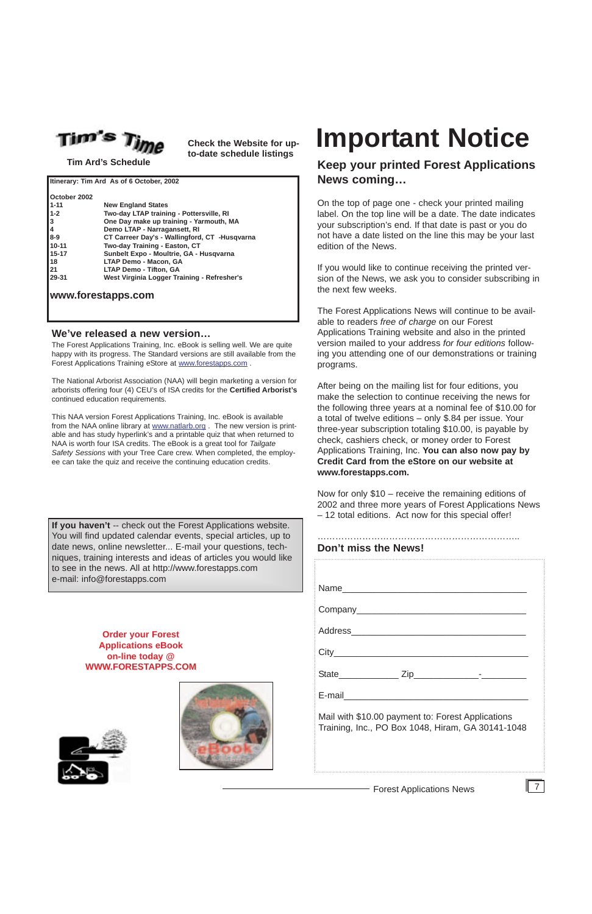#### Forest Applications News

**Tim Ard's Schedule**

| October 2002 |                                               |  |  |  |
|--------------|-----------------------------------------------|--|--|--|
| $1 - 11$     | <b>New England States</b>                     |  |  |  |
| $1 - 2$      | Two-day LTAP training - Pottersville, RI      |  |  |  |
| 3            | One Day make up training - Yarmouth, MA       |  |  |  |
| 4            | Demo LTAP - Narragansett, RI                  |  |  |  |
| $8 - 9$      | CT Carreer Day's - Wallingford, CT -Husgvarna |  |  |  |
| $10 - 11$    | Two-day Training - Easton, CT                 |  |  |  |
| $15 - 17$    | Sunbelt Expo - Moultrie, GA - Husgvarna       |  |  |  |
| 18           | LTAP Demo - Macon, GA                         |  |  |  |
| 21           | <b>LTAP Demo - Tifton, GA</b>                 |  |  |  |
| 29-31        | West Virginia Logger Training - Refresher's   |  |  |  |

7

**If you haven't** -- check out the Forest Applications website. You will find updated calendar events, special articles, up to date news, online newsletter... E-mail your questions, techniques, training interests and ideas of articles you would like to see in the news. All at http://www.forestapps.com e-mail: info@forestapps.com



**Check the Website for upto-date schedule listings**

#### **Keep your printed Forest Applications News coming…**

On the top of page one - check your printed mailing label. On the top line will be a date. The date indicates your subscription's end. If that date is past or you do not have a date listed on the line this may be your last edition of the News.

If you would like to continue receiving the printed version of the News, we ask you to consider subscribing in the next few weeks.

The Forest Applications News will continue to be available to readers *free of charge* on our Forest Applications Training website and also in the printed version mailed to your address *for four editions* following you attending one of our demonstrations or training programs.

After being on the mailing list for four editions, you make the selection to continue receiving the news for the following three years at a nominal fee of \$10.00 for a total of twelve editions – only \$.84 per issue. Your three-year subscription totaling \$10.00, is payable by check, cashiers check, or money order to Forest Applications Training, Inc. **You can also now pay by Credit Card from the eStore on our website at www.forestapps.com.**

Now for only \$10 – receive the remaining editions of 2002 and three more years of Forest Applications News – 12 total editions. Act now for this special offer!

| Don't miss the News! |  |  |  |  |  |  |
|----------------------|--|--|--|--|--|--|
|                      |  |  |  |  |  |  |
|                      |  |  |  |  |  |  |
|                      |  |  |  |  |  |  |
|                      |  |  |  |  |  |  |
|                      |  |  |  |  |  |  |





| <b>State</b> |  | $\overline{\phantom{0}}$ |
|--------------|--|--------------------------|
| E-mail       |  |                          |

Mail with \$10.00 payment to: Forest Applications Training, Inc., PO Box 1048, Hiram, GA 30141-1048

# **Important Notice**

#### **We've released a new version…**

The Forest Applications Training, Inc. eBook is selling well. We are quite happy with its progress. The Standard versions are still available from the Forest Applications Training eStore at www.forestapps.com .

The National Arborist Association (NAA) will begin marketing a version for arborists offering four (4) CEU's of ISA credits for the **Certified Arborist's** continued education requirements.

This NAA version Forest Applications Training, Inc. eBook is available from the NAA online library at www.natlarb.org . The new version is printable and has study hyperlink's and a printable quiz that when returned to NAA is worth four ISA credits. The eBook is a great tool for *Tailgate Safety Sessions* with your Tree Care crew. When completed, the employee can take the quiz and receive the continuing education credits.

> **Order your Forest Applications eBook on-line today @ WWW.FORESTAPPS.COM**